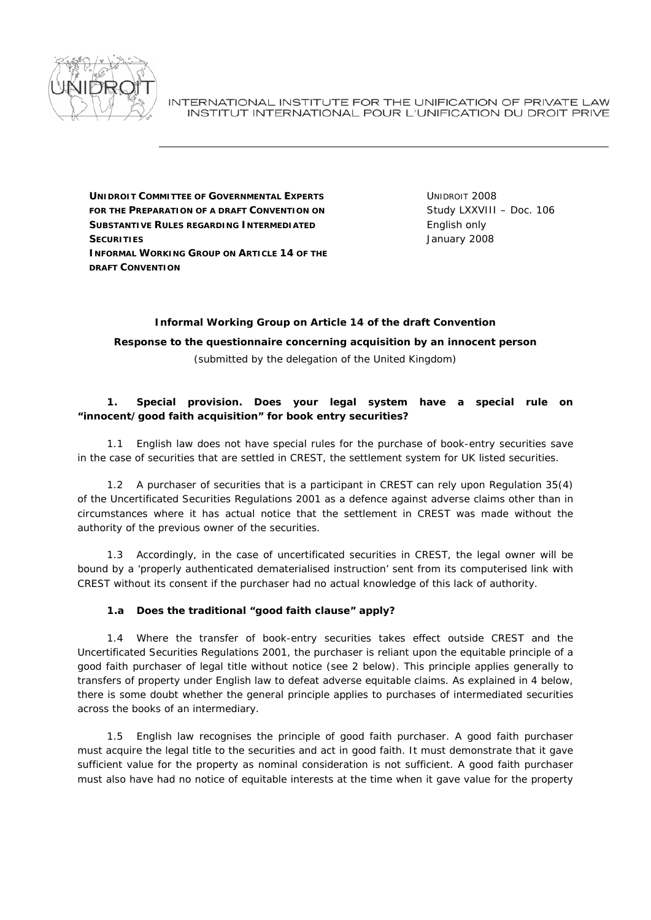

INTERNATIONAL INSTITUTE FOR THE UNIFICATION OF PRIVATE LAW INSTITUT INTERNATIONAL POUR L'UNIFICATION DU DROIT PRIVE

**UNIDROIT COMMITTEE OF GOVERNMENTAL EXPERTS FOR THE PREPARATION OF A DRAFT CONVENTION ON SUBSTANTIVE RULES REGARDING INTERMEDIATED SECURITIES INFORMAL WORKING GROUP ON ARTICLE 14 OF THE DRAFT CONVENTION**

UNIDROIT 2008 Study LXXVIII – Doc. 106 English only January 2008

# **Informal Working Group on Article 14 of the draft Convention**

**Response to the questionnaire concerning acquisition by an innocent person**  *(submitted by the delegation of the United Kingdom)* 

### *1. Special provision***.** *Does your legal system have a special rule on "innocent/good faith acquisition" for book entry securities?*

 1.1 English law does not have special rules for the purchase of book-entry securities save in the case of securities that are settled in CREST, the settlement system for UK listed securities.

 1.2 A purchaser of securities that is a participant in CREST can rely upon Regulation 35(4) of the Uncertificated Securities Regulations 2001 as a defence against adverse claims other than in circumstances where it has *actual* notice that the settlement in CREST was made without the authority of the previous owner of the securities.

 1.3 Accordingly, in the case of uncertificated securities in CREST, the legal owner will be bound by a 'properly authenticated dematerialised instruction' sent from its computerised link with CREST without its consent if the purchaser had no actual knowledge of this lack of authority.

# *1.a Does the traditional "good faith clause" apply?*

 1.4 Where the transfer of book-entry securities takes effect outside CREST and the Uncertificated Securities Regulations 2001, the purchaser is reliant upon the equitable principle of a good faith purchaser of legal title without notice (see 2 below). This principle applies generally to transfers of property under English law to defeat adverse equitable claims. As explained in 4 below, there is some doubt whether the general principle applies to purchases of intermediated securities across the books of an intermediary.

 1.5 English law recognises the principle of good faith purchaser. A good faith purchaser must acquire the legal title to the securities and act in good faith. It must demonstrate that it gave sufficient value for the property as nominal consideration is not sufficient. A good faith purchaser must also have had no notice of equitable interests at the time when it gave value for the property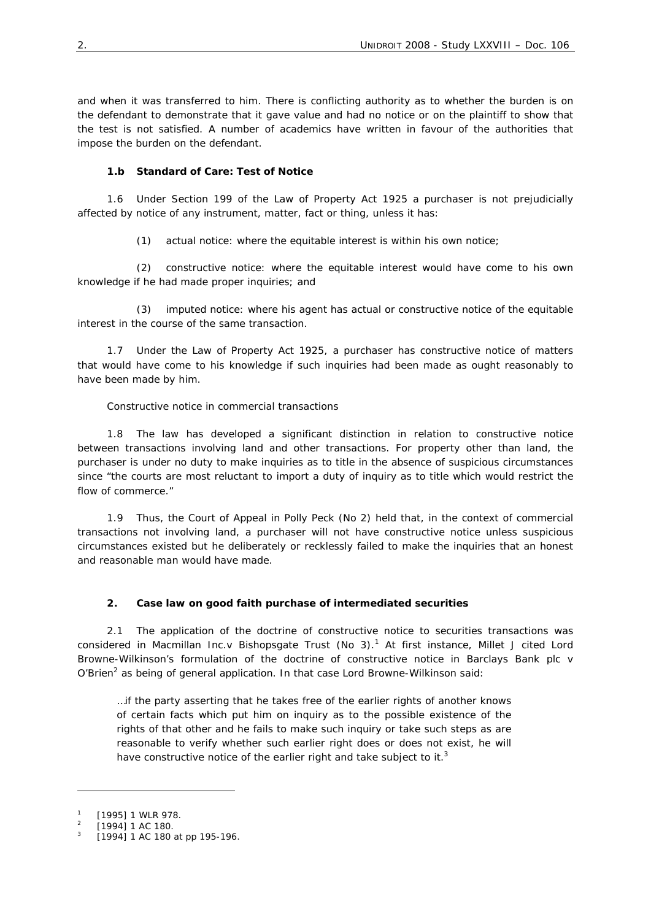and when it was transferred to him. There is conflicting authority as to whether the burden is on the defendant to demonstrate that it gave value and had no notice or on the plaintiff to show that the test is not satisfied. A number of academics have written in favour of the authorities that impose the burden on the defendant.

# *1.b Standard of Care: Test of Notice*

 1.6 Under Section 199 of the Law of Property Act 1925 a purchaser is not prejudicially affected by notice of any instrument, matter, fact or thing, unless it has:

(1) *actual notice*: where the equitable interest is within his own notice;

 (2) *constructive notice*: where the equitable interest would have come to his own knowledge if he had made proper inquiries; and

 (3) *imputed notice*: where his agent has actual or constructive notice of the equitable interest in the course of the same transaction.

 1.7 Under the Law of Property Act 1925, a purchaser has constructive notice of matters that would have come to his knowledge if such inquiries had been made as ought reasonably to have been made by him.

### *Constructive notice in commercial transactions*

 1.8 The law has developed a significant distinction in relation to constructive notice between transactions involving land and other transactions. For property other than land, the purchaser is under no duty to make inquiries as to title in the absence of suspicious circumstances since "the courts are most reluctant to import a duty of inquiry as to title which would restrict the flow of commerce."

 1.9 Thus, the Court of Appeal in *Polly Peck (No 2)* held that, in the context of commercial transactions not involving land, a purchaser will not have constructive notice unless suspicious circumstances existed but he deliberately or recklessly failed to make the inquiries that an honest and reasonable man would have made.

# *2. Case law on good faith purchase of intermediated securities*

 2.1 The application of the doctrine of constructive notice to securities transactions was considered in *Macmillan Inc.v Bishopsgate Trust (No 3).<sup>1</sup>* At first instance, Millet J cited Lord Browne-Wilkinson's formulation of the doctrine of constructive notice in *Barclays Bank plc v O'Brien<sup>2</sup>* as being of general application. In that case Lord Browne-Wilkinson said:

…if the party asserting that he takes free of the earlier rights of another knows of certain facts which put him on inquiry as to the possible existence of the rights of that other and he fails to make such inquiry or take such steps as are reasonable to verify whether such earlier right does or does not exist, he will have constructive notice of the earlier right and take subject to it.<sup>3</sup>

-

<sup>1</sup> [1995] 1 WLR 978.

<sup>2</sup> [1994] 1 AC 180.

<sup>3</sup> [1994] 1 AC 180 at pp 195-196.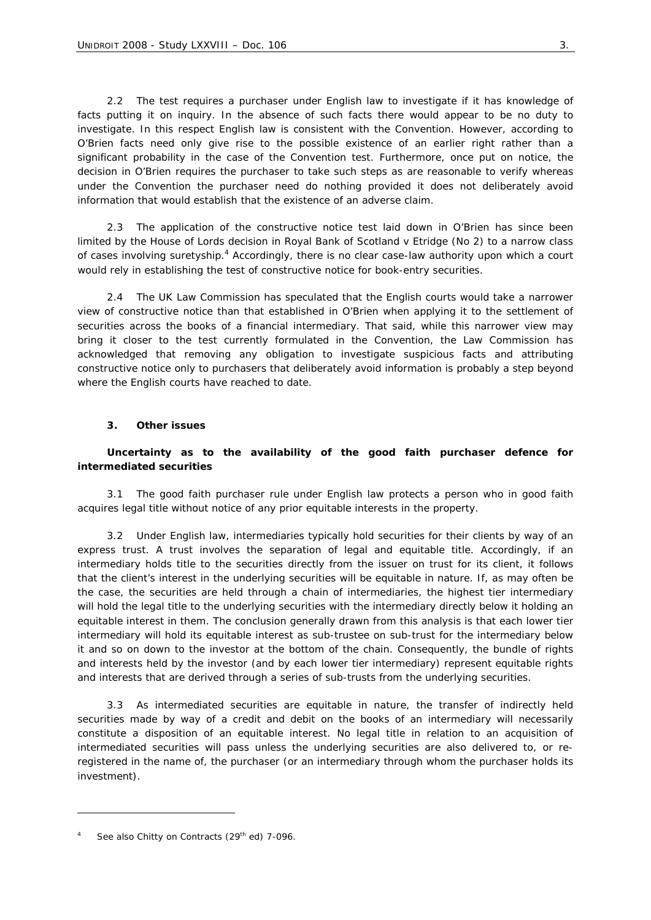2.2 The test requires a purchaser under English law to investigate if it has knowledge of facts putting it on inquiry. In the absence of such facts there would appear to be no duty to investigate. In this respect English law is consistent with the Convention. However, according to *O'Brien* facts need only give rise to the *possible* existence of an earlier right rather than a *significant probability* in the case of the Convention test. Furthermore, once put on notice, the decision in *O'Brien* requires the purchaser to take such steps as are reasonable to verify whereas under the Convention the purchaser need do nothing provided it does not deliberately avoid information that would establish that the existence of an adverse claim.

 2.3 The application of the constructive notice test laid down in *O'Brien* has since been limited by the House of Lords decision in *Royal Bank of Scotland v Etridge (No 2)* to a narrow class of cases involving suretyship.<sup>4</sup> Accordingly, there is no clear case-law authority upon which a court would rely in establishing the test of constructive notice for book-entry securities.

 2.4 The UK Law Commission has speculated that the English courts would take a narrower view of constructive notice than that established in *O'Brien* when applying it to the settlement of securities across the books of a financial intermediary. That said, while this narrower view may bring it closer to the test currently formulated in the Convention, the Law Commission has acknowledged that removing any obligation to investigate suspicious facts and attributing constructive notice only to purchasers that deliberately avoid information is probably a step beyond where the English courts have reached to date.

### *3. Other issues*

### *Uncertainty as to the availability of the good faith purchaser defence for intermediated securities*

 3.1 The good faith purchaser rule under English law protects a person who in good faith acquires legal title without notice of any prior equitable interests in the property.

 3.2 Under English law, intermediaries typically hold securities for their clients by way of an express trust. A trust involves the separation of legal and equitable title. Accordingly, if an intermediary holds title to the securities directly from the issuer on trust for its client, it follows that the client's interest in the underlying securities will be equitable in nature. If, as may often be the case, the securities are held through a chain of intermediaries, the highest tier intermediary will hold the legal title to the underlying securities with the intermediary directly below it holding an equitable interest in them. The conclusion generally drawn from this analysis is that each lower tier intermediary will hold its equitable interest as sub-trustee on sub-trust for the intermediary below it and so on down to the investor at the bottom of the chain. Consequently, the bundle of rights and interests held by the investor (and by each lower tier intermediary) represent *equitable* rights and interests that are derived through a series of sub-trusts from the underlying securities.

 3.3 As intermediated securities are equitable in nature, the transfer of indirectly held securities made by way of a credit and debit on the books of an intermediary will necessarily constitute a disposition of an equitable interest. No *legal* title in relation to an acquisition of intermediated securities will pass unless the underlying securities are also delivered to, or reregistered in the name of, the purchaser (or an intermediary through whom the purchaser holds its investment).

 $\overline{a}$ 

<sup>4</sup> See also Chitty on Contracts (29<sup>th</sup> ed) 7-096.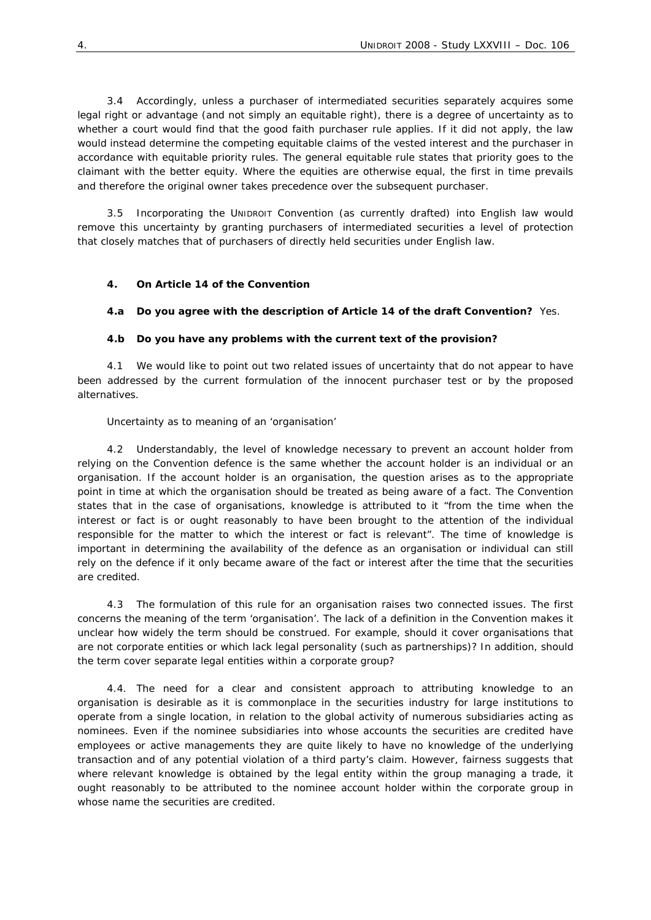3.4 Accordingly, unless a purchaser of intermediated securities separately acquires some *legal* right or advantage (and not simply an *equitable* right), there is a degree of uncertainty as to whether a court would find that the good faith purchaser rule applies. If it did not apply, the law would instead determine the competing equitable claims of the vested interest and the purchaser in accordance with equitable priority rules. The general equitable rule states that priority goes to the claimant with the better equity. Where the equities are otherwise equal, the first in time prevails and therefore the original owner takes precedence over the subsequent purchaser.

 3.5 Incorporating the UNIDROIT Convention (as currently drafted) into English law would remove this uncertainty by granting purchasers of intermediated securities a level of protection that closely matches that of purchasers of directly held securities under English law.

### *4. On Article 14 of the Convention*

#### *4.a Do you agree with the description of Article 14 of the draft Convention***?** Yes.

#### *4.b Do you have any problems with the current text of the provision?*

 4.1 We would like to point out two related issues of uncertainty that do not appear to have been addressed by the current formulation of the innocent purchaser test or by the proposed alternatives.

#### *Uncertainty as to meaning of an 'organisation'*

 4.2 Understandably, the level of knowledge necessary to prevent an account holder from relying on the Convention defence is the same whether the account holder is an individual or an organisation. If the account holder is an organisation, the question arises as to the appropriate point in time at which the organisation should be treated as being aware of a fact. The Convention states that in the case of organisations, knowledge is attributed to it "from the time when the interest or fact is or ought reasonably to have been brought to the attention of the individual responsible for the matter to which the interest or fact is relevant". The time of knowledge is important in determining the availability of the defence as an organisation or individual can still rely on the defence if it only became aware of the fact or interest after the time that the securities are credited.

 4.3 The formulation of this rule for an organisation raises two connected issues. The first concerns the meaning of the term 'organisation'. The lack of a definition in the Convention makes it unclear how widely the term should be construed. For example, should it cover organisations that are not corporate entities or which lack legal personality (such as partnerships)? In addition, should the term cover separate legal entities within a corporate group?

 4.4. The need for a clear and consistent approach to attributing knowledge to an organisation is desirable as it is commonplace in the securities industry for large institutions to operate from a single location, in relation to the global activity of numerous subsidiaries acting as nominees. Even if the nominee subsidiaries into whose accounts the securities are credited have employees or active managements they are quite likely to have no knowledge of the underlying transaction and of any potential violation of a third party's claim. However, fairness suggests that where relevant knowledge is obtained by the legal entity within the group managing a trade, it ought reasonably to be attributed to the nominee account holder within the corporate group in whose name the securities are credited.